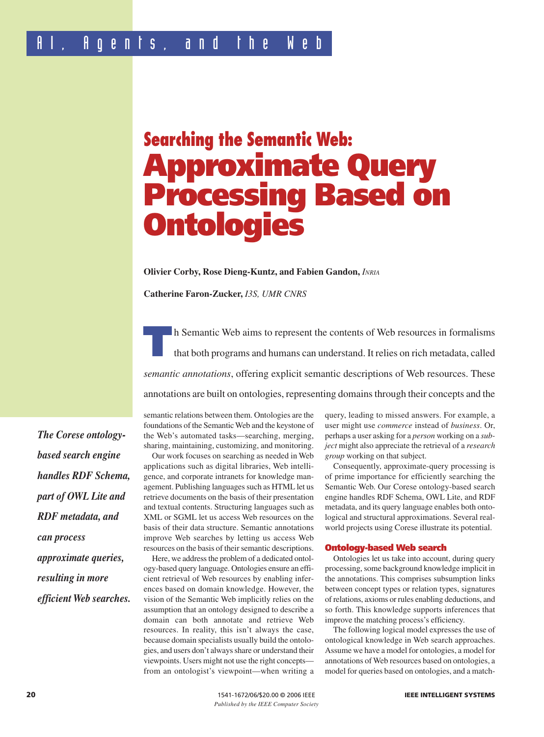# **Searching the Semantic Web: Approximate Query Processing Based on Ontologies**

**Olivier Corby, Rose Dieng-Kuntz, and Fabien Gandon,** *INRIA*

**Catherine Faron-Zucker,** *I3S, UMR CNRS*

**T**h Semantic Web aims to represent the contents of Web resources in formalisms that both programs and humans can understand. It relies on rich metadata, called *semantic annotations*, offering explicit semantic descriptions of Web resources. These annotations are built on ontologies, representing domains through their concepts and the

*The Corese ontologybased search engine handles RDF Schema, part of OWL Lite and RDF metadata, and can process approximate queries, resulting in more efficient Web searches.* semantic relations between them. Ontologies are the foundations of the Semantic Web and the keystone of the Web's automated tasks—searching, merging, sharing, maintaining, customizing, and monitoring.

Our work focuses on searching as needed in Web applications such as digital libraries, Web intelligence, and corporate intranets for knowledge management. Publishing languages such as HTML let us retrieve documents on the basis of their presentation and textual contents. Structuring languages such as XML or SGML let us access Web resources on the basis of their data structure. Semantic annotations improve Web searches by letting us access Web resources on the basis of their semantic descriptions.

Here, we address the problem of a dedicated ontology-based query language. Ontologies ensure an efficient retrieval of Web resources by enabling inferences based on domain knowledge. However, the vision of the Semantic Web implicitly relies on the assumption that an ontology designed to describe a domain can both annotate and retrieve Web resources. In reality, this isn't always the case, because domain specialists usually build the ontologies, and users don't always share or understand their viewpoints. Users might not use the right concepts from an ontologist's viewpoint—when writing a query, leading to missed answers. For example, a user might use *commerce* instead of *business*. Or, perhaps a user asking for a *person* working on a *subject* might also appreciate the retrieval of a *research group* working on that subject.

Consequently, approximate-query processing is of prime importance for efficiently searching the Semantic Web. Our Corese ontology-based search engine handles RDF Schema, OWL Lite, and RDF metadata, and its query language enables both ontological and structural approximations. Several realworld projects using Corese illustrate its potential.

### **Ontology-based Web search**

Ontologies let us take into account, during query processing, some background knowledge implicit in the annotations. This comprises subsumption links between concept types or relation types, signatures of relations, axioms or rules enabling deductions, and so forth. This knowledge supports inferences that improve the matching process's efficiency.

The following logical model expresses the use of ontological knowledge in Web search approaches. Assume we have a model for ontologies, a model for annotations of Web resources based on ontologies, a model for queries based on ontologies, and a match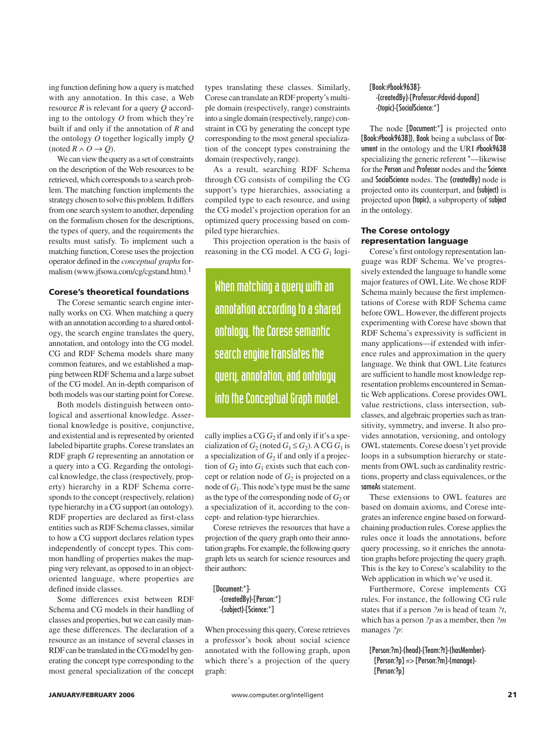ing function defining how a query is matched with any annotation. In this case, a Web resource *R* is relevant for a query *Q* according to the ontology *O* from which they're built if and only if the annotation of *R* and the ontology *O* together logically imply *Q*  $(\text{noted } R \wedge O \rightarrow Q).$ 

We can view the query as a set of constraints on the description of the Web resources to be retrieved, which corresponds to a search problem. The matching function implements the strategy chosen to solve this problem. It differs from one search system to another, depending on the formalism chosen for the descriptions, the types of query, and the requirements the results must satisfy. To implement such a matching function, Corese uses the projection operator defined in the *conceptual graphs*formalism (www.jfsowa.com/cg/cgstand.htm).1

### **Corese's theoretical foundations**

The Corese semantic search engine internally works on CG. When matching a query with an annotation according to a shared ontology, the search engine translates the query, annotation, and ontology into the CG model. CG and RDF Schema models share many common features, and we established a mapping between RDF Schema and a large subset of the CG model. An in-depth comparison of both models was our starting point for Corese.

Both models distinguish between ontological and assertional knowledge. Assertional knowledge is positive, conjunctive, and existential and is represented by oriented labeled bipartite graphs. Corese translates an RDF graph *G* representing an annotation or a query into a CG. Regarding the ontological knowledge, the class (respectively, property) hierarchy in a RDF Schema corresponds to the concept (respectively, relation) type hierarchy in a CG support (an ontology). RDF properties are declared as first-class entities such as RDF Schema classes, similar to how a CG support declares relation types independently of concept types. This common handling of properties makes the mapping very relevant, as opposed to in an objectoriented language, where properties are defined inside classes.

Some differences exist between RDF Schema and CG models in their handling of classes and properties, but we can easily manage these differences. The declaration of a resource as an instance of several classes in RDF can be translated in the CG model by generating the concept type corresponding to the most general specialization of the concept

types translating these classes. Similarly, Corese can translate an RDF property's multiple domain (respectively, range) constraints into a single domain (respectively, range) constraint in CG by generating the concept type corresponding to the most general specialization of the concept types constraining the domain (respectively, range).

As a result, searching RDF Schema through CG consists of compiling the CG support's type hierarchies, associating a compiled type to each resource, and using the CG model's projection operation for an optimized query processing based on compiled type hierarchies.

This projection operation is the basis of reasoning in the CG model. A CG *G*<sup>1</sup> logi-

When matching a query with an annotation according to a shared ontology, the Corese semantic search engine translates the query, annotation, and ontology into the Conceptual Graph model.

cally implies a CG  $G_2$  if and only if it's a specialization of  $G_2$  (noted  $G_1 \leq G_2$ ). A CG  $G_1$  is a specialization of  $G_2$  if and only if a projection of  $G_2$  into  $G_1$  exists such that each concept or relation node of  $G_2$  is projected on a node of *G*1. This node's type must be the same as the type of the corresponding node of  $G_2$  or a specialization of it, according to the concept- and relation-type hierarchies.

Corese retrieves the resources that have a projection of the query graph onto their annotation graphs. For example, the following query graph lets us search for science resources and their authors:

[Document:\*]- -(createdBy)-[Person:\*] -(subject)-[Science:\*]

When processing this query, Corese retrieves a professor's book about social science annotated with the following graph, upon which there's a projection of the query graph:

# [Book:#book9638]- -(createdBy)-[Professor:#david-dupond] -(topic)-[SocialScience:\*]

The node [Document:\*] is projected onto [Book:#book9638]}, Book being a subclass of Document in the ontology and the URI #book9638 specializing the generic referent \*—likewise for the Person and Professor nodes and the Science and SocialScience nodes. The (createdBy) node is projected onto its counterpart, and (subject) is projected upon (topic), a subproperty of subject in the ontology.

### **The Corese ontology representation language**

Corese's first ontology representation language was RDF Schema. We've progressively extended the language to handle some major features of OWL Lite. We chose RDF Schema mainly because the first implementations of Corese with RDF Schema came before OWL. However, the different projects experimenting with Corese have shown that RDF Schema's expressivity is sufficient in many applications—if extended with inference rules and approximation in the query language. We think that OWL Lite features are sufficient to handle most knowledge representation problems encountered in Semantic Web applications. Corese provides OWL value restrictions, class intersection, subclasses, and algebraic properties such as transitivity, symmetry, and inverse. It also provides annotation, versioning, and ontology OWL statements. Corese doesn't yet provide loops in a subsumption hierarchy or statements from OWL such as cardinality restrictions, property and class equivalences, or the sameAs statement.

These extensions to OWL features are based on domain axioms, and Corese integrates an inference engine based on forwardchaining production rules. Corese applies the rules once it loads the annotations, before query processing, so it enriches the annotation graphs before projecting the query graph. This is the key to Corese's scalability to the Web application in which we've used it.

Furthermore, Corese implements CG rules. For instance, the following CG rule states that if a person *?m* is head of team *?t*, which has a person *?p* as a member, then *?m* manages *?p*:

## [Person:?m]-(head)-[Team:?t]-(hasMember)-  $[Person:?p] => [Person:?m]-(manage) -$ [Person:?p]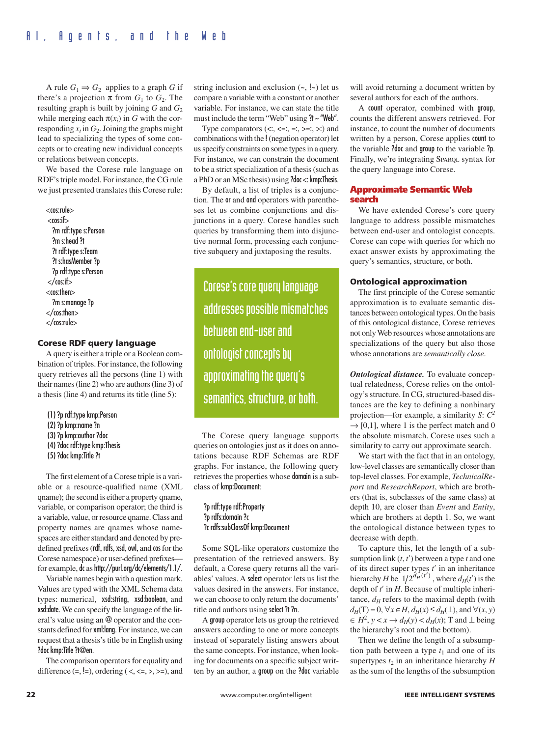A rule  $G_1 \Rightarrow G_2$  applies to a graph *G* if there's a projection  $\pi$  from  $G_1$  to  $G_2$ . The resulting graph is built by joining  $G$  and  $G_2$ while merging each  $\pi(x_i)$  in *G* with the corresponding  $x_i$  in  $G_2$ . Joining the graphs might lead to specializing the types of some concepts or to creating new individual concepts or relations between concepts.

We based the Corese rule language on RDF's triple model. For instance, the CG rule we just presented translates this Corese rule:

```
<cos:rule>
<cos:if>
  ?m rdf:type s:Person
  ?m s:head ?t
  ?t rdf:type s:Team
  ?t s:hasMember ?p
  ?p rdf:type s:Person
</cos:if>
<cos:then>
  ?m s:manage ?p
</cos:then>
</cos:rule>
```
### **Corese RDF query language**

A query is either a triple or a Boolean combination of triples. For instance, the following query retrieves all the persons (line 1) with their names (line 2) who are authors (line 3) of a thesis (line 4) and returns its title (line 5):

(1) ?p rdf:type kmp:Person (2) ?p kmp:name ?n (3) ?p kmp:author ?doc (4) ?doc rdf:type kmp:Thesis (5) ?doc kmp:Title ?t

The first element of a Corese triple is a variable or a resource-qualified name (XML qname); the second is either a property qname, variable, or comparison operator; the third is a variable, value, or resource qname. Class and property names are qnames whose namespaces are either standard and denoted by predefined prefixes (rdf, rdfs, xsd, owl, and cos for the Corese namespace) or user-defined prefixes for example, dc as http://purl.org/dc/elements/1.1/.

Variable names begin with a question mark. Values are typed with the XML Schema data types: numerical, xsd:string, xsd:boolean, and xsd:date. We can specify the language of the literal's value using an @ operator and the constants defined for xml:lang. For instance, we can request that a thesis's title be in English using ?doc kmp:Title ?t@en.

The comparison operators for equality and difference  $(=, !=)$ , ordering  $(<, <=, >, >=)$ , and

string inclusion and exclusion  $(\sim, \cdot)$  let us compare a variable with a constant or another variable. For instance, we can state the title must include the term "Web" using ?<sup>1</sup> ~ "Web".

Type comparators  $(<, < =, =: , > =: , >: )$  and combinations with the !(negation operator) let us specify constraints on some types in a query. For instance, we can constrain the document to be a strict specialization of a thesis (such as a PhD or an MSc thesis) using ?doc <: kmp:Thesis.

By default, a list of triples is a conjunction. The or and and operators with parentheses let us combine conjunctions and disjunctions in a query. Corese handles such queries by transforming them into disjunctive normal form, processing each conjunctive subquery and juxtaposing the results.

Corese's core query language addresses possible mismatches between end-user and ontologist concepts by approximating the query's semantics, structure, or both.

The Corese query language supports queries on ontologies just as it does on annotations because RDF Schemas are RDF graphs. For instance, the following query retrieves the properties whose domain is a subclass of kmp:Document:

## ?p rdf:type rdf:Property ?p rdfs:domain ?c ?c rdfs:subClassOf kmp:Document

Some SQL-like operators customize the presentation of the retrieved answers. By default, a Corese query returns all the variables' values. A select operator lets us list the values desired in the answers. For instance, we can choose to only return the documents' title and authors using select?t?n.

A group operator lets us group the retrieved answers according to one or more concepts instead of separately listing answers about the same concepts. For instance, when looking for documents on a specific subject written by an author, a group on the ?doc variable

will avoid returning a document written by several authors for each of the authors.

A count operator, combined with group, counts the different answers retrieved. For instance, to count the number of documents written by a person, Corese applies count to the variable ?doc and group to the variable ?p. Finally, we're integrating SPARQL syntax for the query language into Corese.

# **Approximate Semantic Web search**

We have extended Corese's core query language to address possible mismatches between end-user and ontologist concepts. Corese can cope with queries for which no exact answer exists by approximating the query's semantics, structure, or both.

#### **Ontological approximation**

The first principle of the Corese semantic approximation is to evaluate semantic distances between ontological types. On the basis of this ontological distance, Corese retrieves not only Web resources whose annotations are specializations of the query but also those whose annotations are *semantically close*.

*Ontological distance.* To evaluate conceptual relatedness, Corese relies on the ontology's structure. In CG, structured-based distances are the key to defining a nonbinary projection—for example, a similarity *S*: *C2*  $\rightarrow$  [0,1], where 1 is the perfect match and 0 the absolute mismatch. Corese uses such a similarity to carry out approximate search.

We start with the fact that in an ontology, low-level classes are semantically closer than top-level classes. For example, *TechnicalReport* and *ResearchReport*, which are brothers (that is, subclasses of the same class) at depth 10, are closer than *Event* and *Entity*, which are brothers at depth 1. So, we want the ontological distance between types to decrease with depth.

To capture this, let the length of a subsumption link (*t*, *t*') between a type *t* and one of its direct super types *t*' in an inheritance hierarchy *H* be  $1/2^{d_H^T(t')}$ , where  $d_H(t')$  is the depth of *t*' in *H*. Because of multiple inheritance,  $d_H$  refers to the maximal depth (with  $d_H(T) = 0$ ,  $\forall x \in H$ ,  $d_H(x) \le d_H(\bot)$ , and  $\forall (x, y)$  $\in$  *H*<sup>2</sup>, *y* < *x*  $\rightarrow$  *d<sub>H</sub>*(*y*) < *d<sub>H</sub>*(*x*); T and  $\perp$  being the hierarchy's root and the bottom).

Then we define the length of a subsumption path between a type  $t_1$  and one of its supertypes  $t_2$  in an inheritance hierarchy  $H$ as the sum of the lengths of the subsumption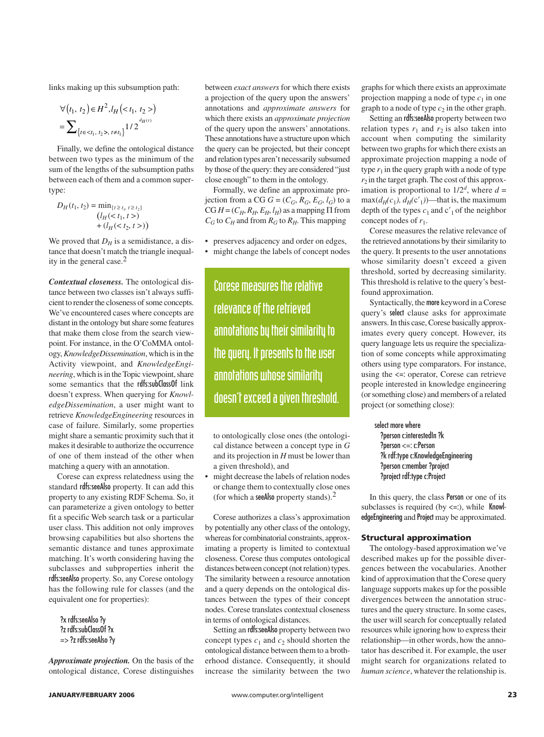links making up this subsumption path:

$$
\forall (t_1, t_2) \in H^2, l_H \left( < t_1, t_2 > \right) \\
 = \sum_{\left\{ t \in < t_1, t_2 > , t \neq t_1 \right\}} \left| 1/2^{d_{H(t)}} \right|
$$

Finally, we define the ontological distance between two types as the minimum of the sum of the lengths of the subsumption paths between each of them and a common supertype:

$$
D_H(t_1, t_2) = \min_{\{t \ge t_1, t \ge t_2\}} \left( l_H(< t_1, t > ) \right) + \left( l_H(< t_2, t > ) \right)
$$

We proved that  $D_H$  is a semidistance, a distance that doesn't match the triangle inequality in the general case.2

*Contextual closeness.* The ontological distance between two classes isn't always sufficient to render the closeness of some concepts. We've encountered cases where concepts are distant in the ontology but share some features that make them close from the search viewpoint. For instance, in the O'CoMMA ontology,*KnowledgeDissemination*, which is in the Activity viewpoint, and *KnowledgeEngineering*, which is in the Topic viewpoint, share some semantics that the rdfs:subClassOf link doesn't express. When querying for *KnowledgeDissemination*, a user might want to retrieve *KnowledgeEngineering* resources in case of failure. Similarly, some properties might share a semantic proximity such that it makes it desirable to authorize the occurrence of one of them instead of the other when matching a query with an annotation.

Corese can express relatedness using the standard rdfs:seeAlso property. It can add this property to any existing RDF Schema. So, it can parameterize a given ontology to better fit a specific Web search task or a particular user class. This addition not only improves browsing capabilities but also shortens the semantic distance and tunes approximate matching. It's worth considering having the subclasses and subproperties inherit the rdfs:seeAlso property. So, any Corese ontology has the following rule for classes (and the equivalent one for properties):

?x rdfs:seeAlso ?y ?z rdfs:subClassOf ?x => ?z rdfs:seeAlso ?y

*Approximate projection.* On the basis of the ontological distance, Corese distinguishes between *exact answers* for which there exists a projection of the query upon the answers' annotations and *approximate answers* for which there exists an *approximate projection* of the query upon the answers' annotations. These annotations have a structure upon which the query can be projected, but their concept and relation types aren't necessarily subsumed by those of the query: they are considered "just close enough" to them in the ontology.

Formally, we define an approximate projection from a CG  $G = (C_G, R_G, E_G, l_G)$  to a  $CG H = (C_H, R_H, E_H, l_H)$  as a mapping  $\Pi$  from  $C_G$  to  $C_H$  and from  $R_G$  to  $R_H$ . This mapping

- preserves adjacency and order on edges,
- might change the labels of concept nodes

Corese measures the relative relevance of the retrieved annotations by their similarity to the query. It presents to the user annotations whose similarity doesn't exceed a given threshold.

to ontologically close ones (the ontological distance between a concept type in *G* and its projection in *H* must be lower than a given threshold), and

• might decrease the labels of relation nodes or change them to contextually close ones (for which a seeAlso property stands).2

Corese authorizes a class's approximation by potentially any other class of the ontology, whereas for combinatorial constraints, approximating a property is limited to contextual closeness. Corese thus computes ontological distances between concept (not relation) types. The similarity between a resource annotation and a query depends on the ontological distances between the types of their concept nodes. Corese translates contextual closeness in terms of ontological distances.

Setting an rdfs:seeAlso property between two concept types  $c_1$  and  $c_2$  should shorten the ontological distance between them to a brotherhood distance. Consequently, it should increase the similarity between the two

graphs for which there exists an approximate projection mapping a node of type  $c_1$  in one graph to a node of type  $c_2$  in the other graph.

Setting an rdfs:seeAlso property between two relation types  $r_1$  and  $r_2$  is also taken into account when computing the similarity between two graphs for which there exists an approximate projection mapping a node of type  $r_1$  in the query graph with a node of type  $r_2$  in the target graph. The cost of this approximation is proportional to  $1/2<sup>d</sup>$ , where  $d =$  $\max(d_H(c_1), d_H(c'_1))$ —that is, the maximum depth of the types  $c_1$  and  $c'_1$  of the neighbor concept nodes of  $r_1$ .

Corese measures the relative relevance of the retrieved annotations by their similarity to the query. It presents to the user annotations whose similarity doesn't exceed a given threshold, sorted by decreasing similarity. This threshold is relative to the query's bestfound approximation.

Syntactically, the more keyword in a Corese query's select clause asks for approximate answers. In this case, Corese basically approximates every query concept. However, its query language lets us require the specialization of some concepts while approximating others using type comparators. For instance, using the <=: operator, Corese can retrieve people interested in knowledge engineering (or something close) and members of a related project (or something close):

select more where

?person c:interestedIn ?k ?person <=: c:Person ?k rdf:type c:KnowledgeEngineering ?person c:member ?project ?project rdf:type c:Project

In this query, the class Person or one of its subclasses is required (by  $\leq$  :), while KnowledgeEngineering and Project may be approximated.

### **Structural approximation**

The ontology-based approximation we've described makes up for the possible divergences between the vocabularies. Another kind of approximation that the Corese query language supports makes up for the possible divergences between the annotation structures and the query structure. In some cases, the user will search for conceptually related resources while ignoring how to express their relationship—in other words, how the annotator has described it. For example, the user might search for organizations related to *human science*, whatever the relationship is.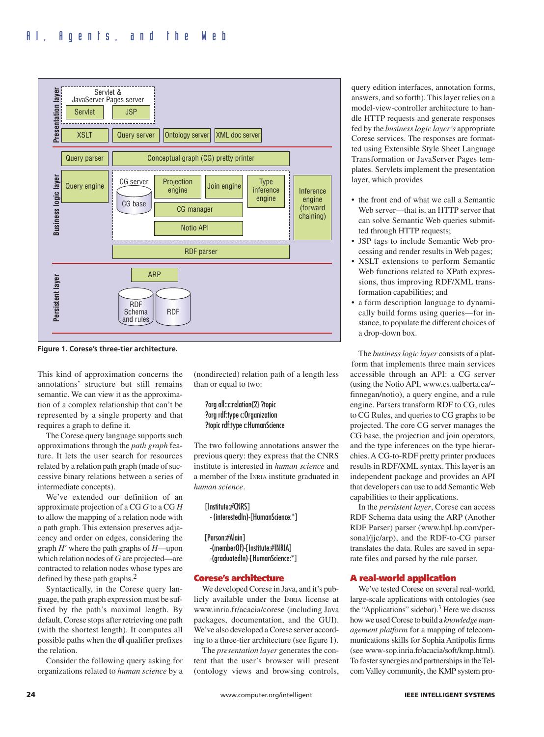

**Figure 1. Corese's three-tier architecture.**

This kind of approximation concerns the annotations' structure but still remains semantic. We can view it as the approximation of a complex relationship that can't be represented by a single property and that requires a graph to define it.

The Corese query language supports such approximations through the *path graph* feature. It lets the user search for resources related by a relation path graph (made of successive binary relations between a series of intermediate concepts).

We've extended our definition of an approximate projection of a CG *G* to a CG *H* to allow the mapping of a relation node with a path graph. This extension preserves adjacency and order on edges, considering the graph *H'* where the path graphs of *H*—upon which relation nodes of *G* are projected—are contracted to relation nodes whose types are defined by these path graphs.<sup>2</sup>

Syntactically, in the Corese query language, the path graph expression must be suffixed by the path's maximal length. By default, Corese stops after retrieving one path (with the shortest length). It computes all possible paths when the all qualifier prefixes the relation.

Consider the following query asking for organizations related to *human science* by a (nondirected) relation path of a length less than or equal to two:

### ?org all::c:relation{2} ?topic ?org rdf:type c:Organization ?topic rdf:type c:HumanScience

The two following annotations answer the previous query: they express that the CNRS institute is interested in *human science* and a member of the INRIA institute graduated in *human science*.

[Institute:#CNRS] - (interestedIn)-[HumanScience:\*]

[Person:#Alain] -(memberOf)-[Institute:#INRIA] -(graduatedIn)-[HumanScience:\*]

### **Corese's architecture**

We developed Corese in Java, and it's publicly available under the INRIA license at www.inria.fr/acacia/corese (including Java packages, documentation, and the GUI). We've also developed a Corese server according to a three-tier architecture (see figure 1).

The *presentation layer* generates the content that the user's browser will present (ontology views and browsing controls, query edition interfaces, annotation forms, answers, and so forth). This layer relies on a model-view-controller architecture to handle HTTP requests and generate responses fed by the *business logic layer's* appropriate Corese services. The responses are formatted using Extensible Style Sheet Language Transformation or JavaServer Pages templates. Servlets implement the presentation layer, which provides

- the front end of what we call a Semantic Web server—that is, an HTTP server that can solve Semantic Web queries submitted through HTTP requests;
- JSP tags to include Semantic Web processing and render results in Web pages;
- XSLT extensions to perform Semantic Web functions related to XPath expressions, thus improving RDF/XML transformation capabilities; and
- a form description language to dynamically build forms using queries—for instance, to populate the different choices of a drop-down box.

The *business logic layer* consists of a platform that implements three main services accessible through an API: a CG server (using the Notio API, www.cs.ualberta.ca/~ finnegan/notio), a query engine, and a rule engine. Parsers transform RDF to CG, rules to CG Rules, and queries to CG graphs to be projected. The core CG server manages the CG base, the projection and join operators, and the type inferences on the type hierarchies. A CG-to-RDF pretty printer produces results in RDF/XML syntax. This layer is an independent package and provides an API that developers can use to add Semantic Web capabilities to their applications.

In the *persistent layer*, Corese can access RDF Schema data using the ARP (Another RDF Parser) parser (www.hpl.hp.com/personal/jjc/arp), and the RDF-to-CG parser translates the data. Rules are saved in separate files and parsed by the rule parser.

# **A real-world application**

We've tested Corese on several real-world, large-scale applications with ontologies (see the "Applications" sidebar). $3$  Here we discuss how we used Corese to build a *knowledge management platform* for a mapping of telecommunications skills for Sophia Antipolis firms (see www-sop.inria.fr/acacia/soft/kmp.html). To foster synergies and partnerships in the Telcom Valley community, the KMP system pro-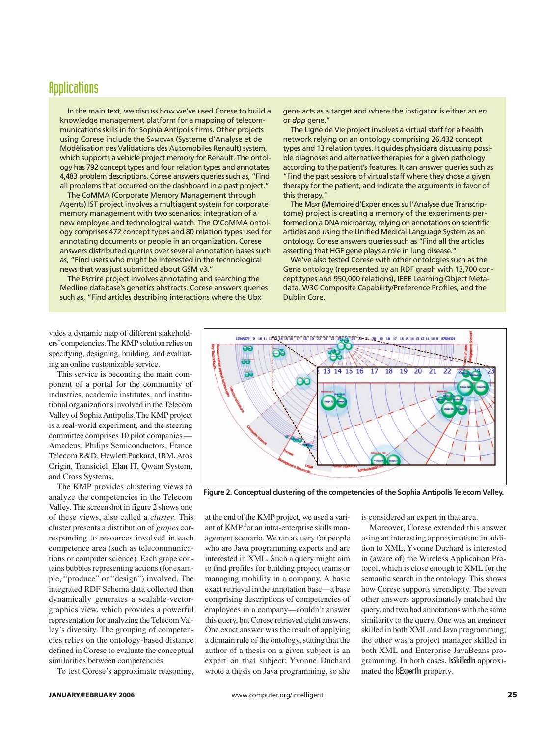# Applications

In the main text, we discuss how we've used Corese to build a knowledge management platform for a mapping of telecommunications skills in for Sophia Antipolis firms. Other projects using Corese include the SAMOVAR (Systeme d'Analyse et de Modèlisation des Validations des Automobiles Renault) system, which supports a vehicle project memory for Renault. The ontology has 792 concept types and four relation types and annotates 4,483 problem descriptions. Corese answers queries such as, "Find all problems that occurred on the dashboard in a past project."

The CoMMA (Corporate Memory Management through Agents) IST project involves a multiagent system for corporate memory management with two scenarios: integration of a new employee and technological watch. The O'CoMMA ontology comprises 472 concept types and 80 relation types used for annotating documents or people in an organization. Corese answers distributed queries over several annotation bases such as, "Find users who might be interested in the technological news that was just submitted about GSM v3."

The Escrire project involves annotating and searching the Medline database's genetics abstracts. Corese answers queries such as, "Find articles describing interactions where the Ubx

gene acts as a target and where the instigator is either an *en* or *dpp* gene."

The Ligne de Vie project involves a virtual staff for a health network relying on an ontology comprising 26,432 concept types and 13 relation types. It guides physicians discussing possible diagnoses and alternative therapies for a given pathology according to the patient's features. It can answer queries such as "Find the past sessions of virtual staff where they chose a given therapy for the patient, and indicate the arguments in favor of this therapy."

The MEAT (Memoire d'Experiences su l'Analyse due Transcriptome) project is creating a memory of the experiments performed on a DNA microarray, relying on annotations on scientific articles and using the Unified Medical Language System as an ontology. Corese answers queries such as "Find all the articles asserting that HGF gene plays a role in lung disease."

We've also tested Corese with other ontologies such as the Gene ontology (represented by an RDF graph with 13,700 concept types and 950,000 relations), IEEE Learning Object Metadata, W3C Composite Capability/Preference Profiles, and the Dublin Core.

vides a dynamic map of different stakeholders'competencies. The KMP solution relies on specifying, designing, building, and evaluating an online customizable service.

This service is becoming the main component of a portal for the community of industries, academic institutes, and institutional organizations involved in the Telecom Valley of Sophia Antipolis. The KMP project is a real-world experiment, and the steering committee comprises 10 pilot companies — Amadeus, Philips Semiconductors, France Telecom R&D, Hewlett Packard, IBM, Atos Origin, Transiciel, Elan IT, Qwam System, and Cross Systems.

The KMP provides clustering views to analyze the competencies in the Telecom Valley. The screenshot in figure 2 shows one of these views, also called a *cluster*. This cluster presents a distribution of *grapes* corresponding to resources involved in each competence area (such as telecommunications or computer science). Each grape contains bubbles representing actions (for example, "produce" or "design") involved. The integrated RDF Schema data collected then dynamically generates a scalable-vectorgraphics view, which provides a powerful representation for analyzing the Telecom Valley's diversity. The grouping of competencies relies on the ontology-based distance defined in Corese to evaluate the conceptual similarities between competencies.

To test Corese's approximate reasoning,



**Figure 2. Conceptual clustering of the competencies of the Sophia Antipolis Telecom Valley.**

at the end of the KMP project, we used a variant of KMP for an intra-enterprise skills management scenario. We ran a query for people who are Java programming experts and are interested in XML. Such a query might aim to find profiles for building project teams or managing mobility in a company. A basic exact retrieval in the annotation base—a base comprising descriptions of competencies of employees in a company—couldn't answer this query, but Corese retrieved eight answers. One exact answer was the result of applying a domain rule of the ontology, stating that the author of a thesis on a given subject is an expert on that subject: Yvonne Duchard wrote a thesis on Java programming, so she

is considered an expert in that area.

Moreover, Corese extended this answer using an interesting approximation: in addition to XML, Yvonne Duchard is interested in (aware of) the Wireless Application Protocol, which is close enough to XML for the semantic search in the ontology. This shows how Corese supports serendipity. The seven other answers approximately matched the query, and two had annotations with the same similarity to the query. One was an engineer skilled in both XML and Java programming; the other was a project manager skilled in both XML and Enterprise JavaBeans programming. In both cases, IsSkilledIn approximated the **IsExpertIn** property.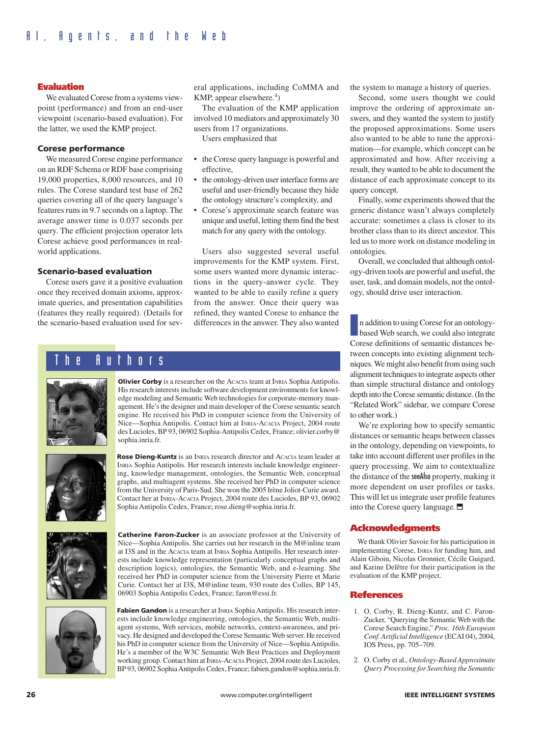### **Evaluation**

We evaluated Corese from a systems viewpoint (performance) and from an end-user viewpoint (scenario-based evaluation). For the latter, we used the KMP project.

#### **Corese performance**

We measured Corese engine performance on an RDF Schema or RDF base comprising 19,000 properties, 8,000 resources, and 10 rules. The Corese standard test base of 262 queries covering all of the query language's features runs in 9.7 seconds on a laptop. The average answer time is 0.037 seconds per query. The efficient projection operator lets Corese achieve good performances in realworld applications.

### **Scenario-based evaluation**

Corese users gave it a positive evaluation once they received domain axioms, approximate queries, and presentation capabilities (features they really required). (Details for the scenario-based evaluation used for sev-

eral applications, including CoMMA and KMP, appear elsewhere.<sup>4</sup>)

The evaluation of the KMP application involved 10 mediators and approximately 30 users from 17 organizations.

Users emphasized that

- the Corese query language is powerful and effective,
- the ontology-driven user interface forms are useful and user-friendly because they hide the ontology structure's complexity, and
- Corese's approximate search feature was unique and useful, letting them find the best match for any query with the ontology.

Users also suggested several useful improvements for the KMP system. First, some users wanted more dynamic interactions in the query-answer cycle. They wanted to be able to easily refine a query from the answer. Once their query was refined, they wanted Corese to enhance the differences in the answer. They also wanted

# he Authors



**Olivier Corby** is a researcher on the ACACIA team at INRIA Sophia Antipolis. His research interests include software development environments for knowledge modeling and Semantic Web technologies for corporate-memory management. He's the designer and main developer of the Corese semantic search engine. He received his PhD in computer science from the University of Nice—Sophia Antipolis. Contact him at INRIA-ACACIA Project, 2004 route des Lucioles, BP 93, 06902 Sophia-Antipolis Cedex, France; olivier.corby@ sophia.inria.fr.



**Rose Dieng-Kuntz** is an INRIA research director and ACACIA team leader at INRIA Sophia Antipolis. Her research interests include knowledge engineering, knowledge management, ontologies, the Semantic Web, conceptual graphs, and multiagent systems. She received her PhD in computer science from the University of Paris-Sud. She won the 2005 Irène Joliot-Curie award. Contact her at INRIA-ACACIA Project, 2004 route des Lucioles, BP 93, 06902 Sophia Antipolis Cedex, France; rose.dieng@sophia.inria.fr.



**Catherine Faron-Zucker** is an associate professor at the University of Nice—Sophia Antipolis. She carries out her research in the M@inline team at I3S and in the ACACIA team at INRIA Sophia Antipolis. Her research interests include knowledge representation (particularly conceptual graphs and description logics), ontologies, the Semantic Web, and e-learning. She received her PhD in computer science from the University Pierre et Marie Curie. Contact her at I3S, M@inline team, 930 route des Colles, BP 145, 06903 Sophia Antipolis Cedex, France; faron@essi.fr.



**Fabien Gandon** is a researcher at INRIA Sophia Antipolis. His research interests include knowledge engineering, ontologies, the Semantic Web, multiagent systems, Web services, mobile networks, context-awareness, and privacy. He designed and developed the Corese Semantic Web server. He received his PhD in computer science from the University of Nice—Sophia Antipolis. He's a member of the W3C Semantic Web Best Practices and Deployment working group. Contact him at INRIA-ACACIA Project, 2004 route des Lucioles, BP 93, 06902 Sophia Antipolis Cedex, France; fabien.gandon@sophia.inria.fr. the system to manage a history of queries.

Second, some users thought we could improve the ordering of approximate answers, and they wanted the system to justify the proposed approximations. Some users also wanted to be able to tune the approximation—for example, which concept can be approximated and how. After receiving a result, they wanted to be able to document the distance of each approximate concept to its query concept.

Finally, some experiments showed that the generic distance wasn't always completely accurate: sometimes a class is closer to its brother class than to its direct ancestor. This led us to more work on distance modeling in ontologies.

Overall, we concluded that although ontology-driven tools are powerful and useful, the user, task, and domain models, not the ontology, should drive user interaction.

**I**n addition to using Corese for an ontologybased Web search, we could also integrate Corese definitions of semantic distances between concepts into existing alignment techniques. We might also benefit from using such alignment techniques to integrate aspects other than simple structural distance and ontology depth into the Corese semantic distance. (In the "Related Work" sidebar, we compare Corese to other work.)

We're exploring how to specify semantic distances or semantic heaps between classes in the ontology, depending on viewpoints, to take into account different user profiles in the query processing. We aim to contextualize the distance of the seeAlso property, making it more dependent on user profiles or tasks. This will let us integrate user profile features into the Corese query language.

### **Acknowledgments**

We thank Olivier Savoie for his participation in implementing Corese, INRIA for funding him, and Alain Giboin, Nicolas Gronnier, Cécile Guigard, and Karine Delêtre for their participation in the evaluation of the KMP project.

### **References**

- 1. O. Corby, R. Dieng-Kuntz, and C. Faron-Zucker, "Querying the Semantic Web with the Corese Search Engine," *Proc. 16th European Conf. Artificial Intelligence* (ECAI 04), 2004, IOS Press, pp. 705–709.
- 2. O. Corby et al., *Ontology-Based Approximate Query Processing for Searching the Semantic*